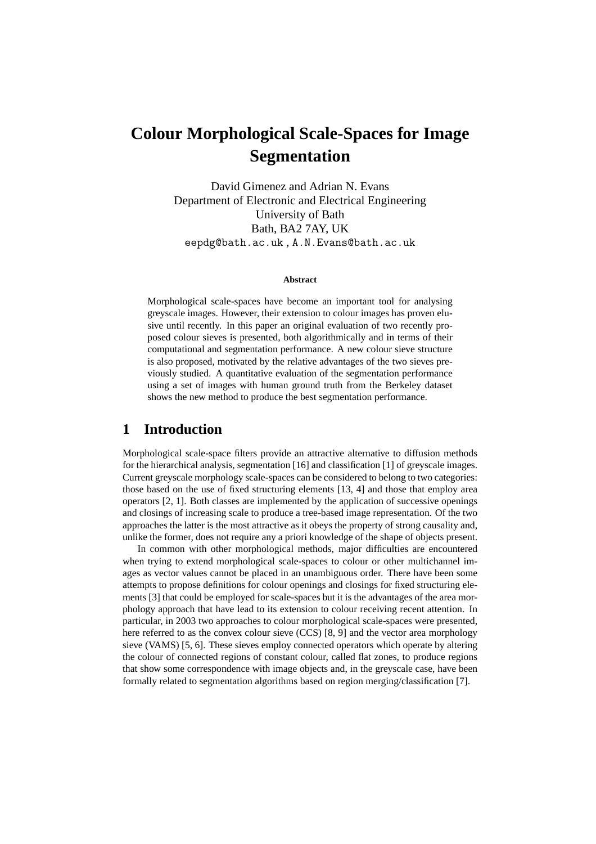# **Colour Morphological Scale-Spaces for Image Segmentation**

David Gimenez and Adrian N. Evans Department of Electronic and Electrical Engineering University of Bath Bath, BA2 7AY, UK eepdg@bath.ac.uk , A.N.Evans@bath.ac.uk

#### **Abstract**

Morphological scale-spaces have become an important tool for analysing greyscale images. However, their extension to colour images has proven elusive until recently. In this paper an original evaluation of two recently proposed colour sieves is presented, both algorithmically and in terms of their computational and segmentation performance. A new colour sieve structure is also proposed, motivated by the relative advantages of the two sieves previously studied. A quantitative evaluation of the segmentation performance using a set of images with human ground truth from the Berkeley dataset shows the new method to produce the best segmentation performance.

### **1 Introduction**

Morphological scale-space filters provide an attractive alternative to diffusion methods for the hierarchical analysis, segmentation [16] and classification [1] of greyscale images. Current greyscale morphology scale-spaces can be considered to belong to two categories: those based on the use of fixed structuring elements [13, 4] and those that employ area operators [2, 1]. Both classes are implemented by the application of successive openings and closings of increasing scale to produce a tree-based image representation. Of the two approaches the latter is the most attractive as it obeys the property of strong causality and, unlike the former, does not require any a priori knowledge of the shape of objects present.

In common with other morphological methods, major difficulties are encountered when trying to extend morphological scale-spaces to colour or other multichannel images as vector values cannot be placed in an unambiguous order. There have been some attempts to propose definitions for colour openings and closings for fixed structuring elements [3] that could be employed for scale-spaces but it is the advantages of the area morphology approach that have lead to its extension to colour receiving recent attention. In particular, in 2003 two approaches to colour morphological scale-spaces were presented, here referred to as the convex colour sieve (CCS) [8, 9] and the vector area morphology sieve (VAMS) [5, 6]. These sieves employ connected operators which operate by altering the colour of connected regions of constant colour, called flat zones, to produce regions that show some correspondence with image objects and, in the greyscale case, have been formally related to segmentation algorithms based on region merging/classification [7].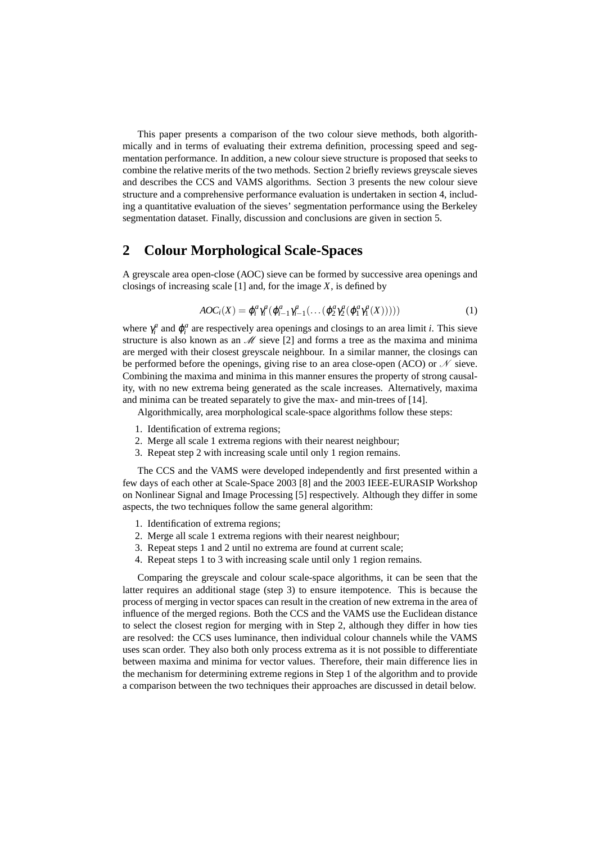This paper presents a comparison of the two colour sieve methods, both algorithmically and in terms of evaluating their extrema definition, processing speed and segmentation performance. In addition, a new colour sieve structure is proposed that seeks to combine the relative merits of the two methods. Section 2 briefly reviews greyscale sieves and describes the CCS and VAMS algorithms. Section 3 presents the new colour sieve structure and a comprehensive performance evaluation is undertaken in section 4, including a quantitative evaluation of the sieves' segmentation performance using the Berkeley segmentation dataset. Finally, discussion and conclusions are given in section 5.

# **2 Colour Morphological Scale-Spaces**

A greyscale area open-close (AOC) sieve can be formed by successive area openings and closings of increasing scale  $[1]$  and, for the image  $X$ , is defined by

$$
AOC_i(X) = \varphi_i^a \gamma_i^a (\varphi_{i-1}^a \gamma_{i-1}^a (\dots (\varphi_2^a \gamma_2^a (\varphi_1^a \gamma_1^a(X))))
$$
\n
$$
(1)
$$

where  $\gamma_i^a$  and  $\varphi_i^a$  are respectively area openings and closings to an area limit *i*. This sieve structure is also known as an  $\mathcal{M}$  sieve [2] and forms a tree as the maxima and minima are merged with their closest greyscale neighbour. In a similar manner, the closings can be performed before the openings, giving rise to an area close-open (ACO) or  $\mathcal N$  sieve. Combining the maxima and minima in this manner ensures the property of strong causality, with no new extrema being generated as the scale increases. Alternatively, maxima and minima can be treated separately to give the max- and min-trees of [14].

Algorithmically, area morphological scale-space algorithms follow these steps:

- 1. Identification of extrema regions;
- 2. Merge all scale 1 extrema regions with their nearest neighbour;
- 3. Repeat step 2 with increasing scale until only 1 region remains.

The CCS and the VAMS were developed independently and first presented within a few days of each other at Scale-Space 2003 [8] and the 2003 IEEE-EURASIP Workshop on Nonlinear Signal and Image Processing [5] respectively. Although they differ in some aspects, the two techniques follow the same general algorithm:

- 1. Identification of extrema regions;
- 2. Merge all scale 1 extrema regions with their nearest neighbour;
- 3. Repeat steps 1 and 2 until no extrema are found at current scale;
- 4. Repeat steps 1 to 3 with increasing scale until only 1 region remains.

Comparing the greyscale and colour scale-space algorithms, it can be seen that the latter requires an additional stage (step 3) to ensure itempotence. This is because the process of merging in vector spaces can result in the creation of new extrema in the area of influence of the merged regions. Both the CCS and the VAMS use the Euclidean distance to select the closest region for merging with in Step 2, although they differ in how ties are resolved: the CCS uses luminance, then individual colour channels while the VAMS uses scan order. They also both only process extrema as it is not possible to differentiate between maxima and minima for vector values. Therefore, their main difference lies in the mechanism for determining extreme regions in Step 1 of the algorithm and to provide a comparison between the two techniques their approaches are discussed in detail below.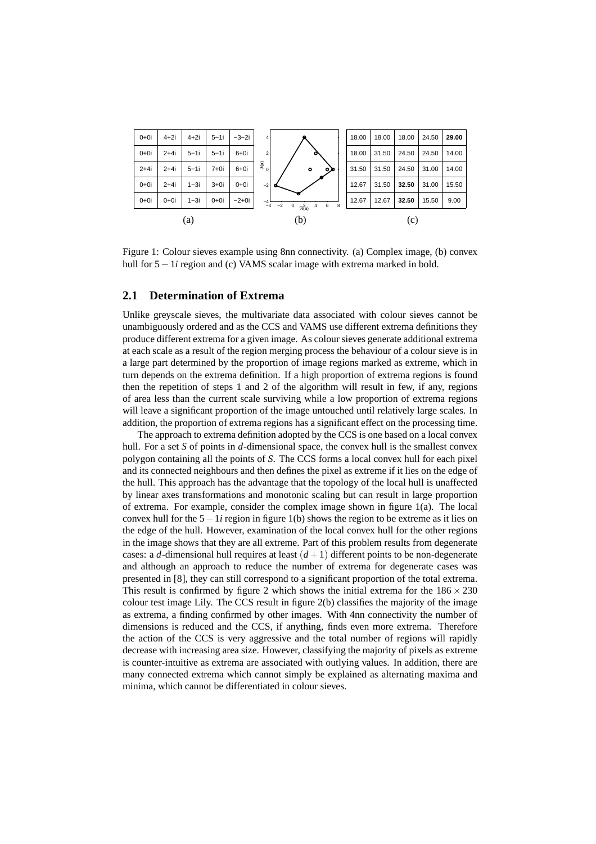

Figure 1: Colour sieves example using 8nn connectivity. (a) Complex image, (b) convex hull for 5−1*i* region and (c) VAMS scalar image with extrema marked in bold.

#### **2.1 Determination of Extrema**

Unlike greyscale sieves, the multivariate data associated with colour sieves cannot be unambiguously ordered and as the CCS and VAMS use different extrema definitions they produce different extrema for a given image. As colour sieves generate additional extrema at each scale as a result of the region merging process the behaviour of a colour sieve is in a large part determined by the proportion of image regions marked as extreme, which in turn depends on the extrema definition. If a high proportion of extrema regions is found then the repetition of steps 1 and 2 of the algorithm will result in few, if any, regions of area less than the current scale surviving while a low proportion of extrema regions will leave a significant proportion of the image untouched until relatively large scales. In addition, the proportion of extrema regions has a significant effect on the processing time.

The approach to extrema definition adopted by the CCS is one based on a local convex hull. For a set *S* of points in *d*-dimensional space, the convex hull is the smallest convex polygon containing all the points of *S*. The CCS forms a local convex hull for each pixel and its connected neighbours and then defines the pixel as extreme if it lies on the edge of the hull. This approach has the advantage that the topology of the local hull is unaffected by linear axes transformations and monotonic scaling but can result in large proportion of extrema. For example, consider the complex image shown in figure 1(a). The local convex hull for the 5−1*i* region in figure 1(b) shows the region to be extreme as it lies on the edge of the hull. However, examination of the local convex hull for the other regions in the image shows that they are all extreme. Part of this problem results from degenerate cases: a *d*-dimensional hull requires at least  $(d+1)$  different points to be non-degenerate and although an approach to reduce the number of extrema for degenerate cases was presented in [8], they can still correspond to a significant proportion of the total extrema. This result is confirmed by figure 2 which shows the initial extrema for the  $186 \times 230$ colour test image Lily. The CCS result in figure 2(b) classifies the majority of the image as extrema, a finding confirmed by other images. With 4nn connectivity the number of dimensions is reduced and the CCS, if anything, finds even more extrema. Therefore the action of the CCS is very aggressive and the total number of regions will rapidly decrease with increasing area size. However, classifying the majority of pixels as extreme is counter-intuitive as extrema are associated with outlying values. In addition, there are many connected extrema which cannot simply be explained as alternating maxima and minima, which cannot be differentiated in colour sieves.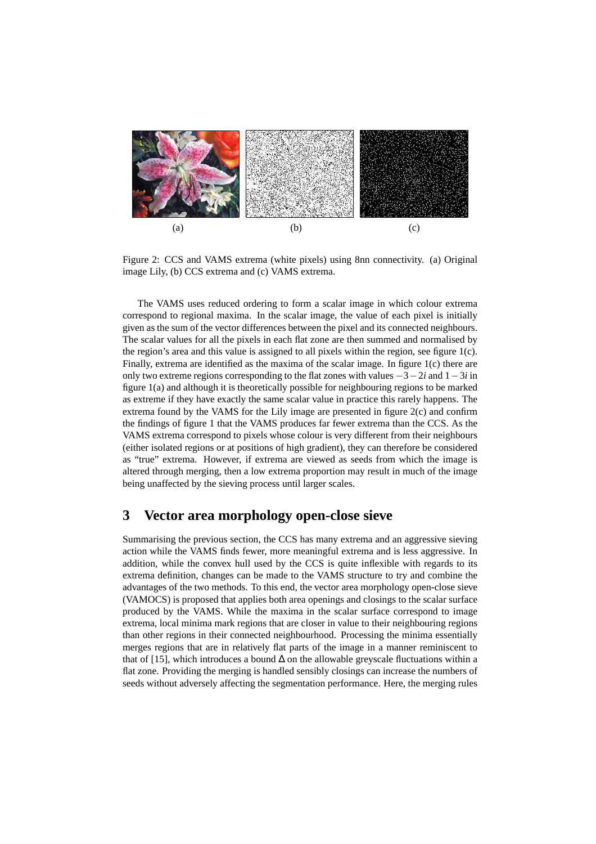

Figure 2: CCS and VAMS extrema (white pixels) using 8nn connectivity. (a) Original image Lily, (b) CCS extrema and (c) VAMS extrema.

The VAMS uses reduced ordering to form a scalar image in which colour extrema correspond to regional maxima. In the scalar image, the value of each pixel is initially given as the sum of the vector differences between the pixel and its connected neighbours. The scalar values for all the pixels in each flat zone are then summed and normalised by the region's area and this value is assigned to all pixels within the region, see figure  $1(c)$ . Finally, extrema are identified as the maxima of the scalar image. In figure 1(c) there are only two extreme regions corresponding to the flat zones with values −3−2*i* and 1−3*i* in figure 1(a) and although it is theoretically possible for neighbouring regions to be marked as extreme if they have exactly the same scalar value in practice this rarely happens. The extrema found by the VAMS for the Lily image are presented in figure 2(c) and confirm the findings of figure 1 that the VAMS produces far fewer extrema than the CCS. As the VAMS extrema correspond to pixels whose colour is very different from their neighbours (either isolated regions or at positions of high gradient), they can therefore be considered as "true" extrema. However, if extrema are viewed as seeds from which the image is altered through merging, then a low extrema proportion may result in much of the image being unaffected by the sieving process until larger scales.

### **3 Vector area morphology open-close sieve**

Summarising the previous section, the CCS has many extrema and an aggressive sieving action while the VAMS finds fewer, more meaningful extrema and is less aggressive. In addition, while the convex hull used by the CCS is quite inflexible with regards to its extrema definition, changes can be made to the VAMS structure to try and combine the advantages of the two methods. To this end, the vector area morphology open-close sieve (VAMOCS) is proposed that applies both area openings and closings to the scalar surface produced by the VAMS. While the maxima in the scalar surface correspond to image extrema, local minima mark regions that are closer in value to their neighbouring regions than other regions in their connected neighbourhood. Processing the minima essentially merges regions that are in relatively flat parts of the image in a manner reminiscent to that of [15], which introduces a bound  $\Delta$  on the allowable greyscale fluctuations within a flat zone. Providing the merging is handled sensibly closings can increase the numbers of seeds without adversely affecting the segmentation performance. Here, the merging rules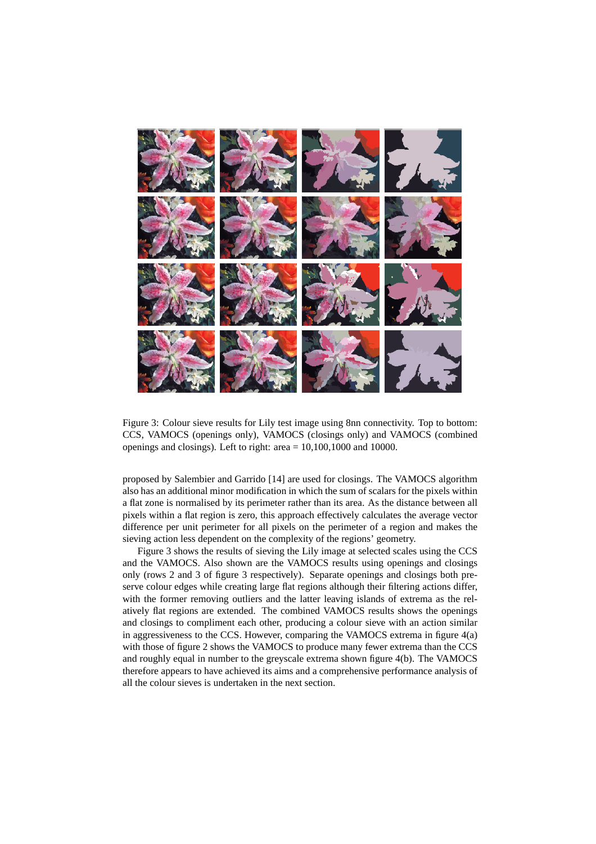

Figure 3: Colour sieve results for Lily test image using 8nn connectivity. Top to bottom: CCS, VAMOCS (openings only), VAMOCS (closings only) and VAMOCS (combined openings and closings). Left to right: area  $= 10,100,1000$  and 10000.

proposed by Salembier and Garrido [14] are used for closings. The VAMOCS algorithm also has an additional minor modification in which the sum of scalars for the pixels within a flat zone is normalised by its perimeter rather than its area. As the distance between all pixels within a flat region is zero, this approach effectively calculates the average vector difference per unit perimeter for all pixels on the perimeter of a region and makes the sieving action less dependent on the complexity of the regions' geometry.

Figure 3 shows the results of sieving the Lily image at selected scales using the CCS and the VAMOCS. Also shown are the VAMOCS results using openings and closings only (rows 2 and 3 of figure 3 respectively). Separate openings and closings both preserve colour edges while creating large flat regions although their filtering actions differ, with the former removing outliers and the latter leaving islands of extrema as the relatively flat regions are extended. The combined VAMOCS results shows the openings and closings to compliment each other, producing a colour sieve with an action similar in aggressiveness to the CCS. However, comparing the VAMOCS extrema in figure 4(a) with those of figure 2 shows the VAMOCS to produce many fewer extrema than the CCS and roughly equal in number to the greyscale extrema shown figure 4(b). The VAMOCS therefore appears to have achieved its aims and a comprehensive performance analysis of all the colour sieves is undertaken in the next section.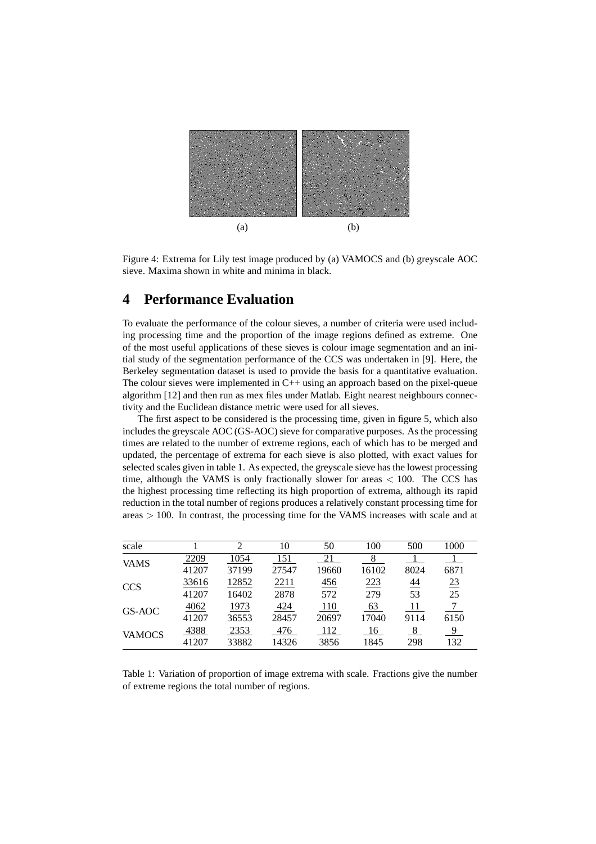

Figure 4: Extrema for Lily test image produced by (a) VAMOCS and (b) greyscale AOC sieve. Maxima shown in white and minima in black.

# **4 Performance Evaluation**

To evaluate the performance of the colour sieves, a number of criteria were used including processing time and the proportion of the image regions defined as extreme. One of the most useful applications of these sieves is colour image segmentation and an initial study of the segmentation performance of the CCS was undertaken in [9]. Here, the Berkeley segmentation dataset is used to provide the basis for a quantitative evaluation. The colour sieves were implemented in  $C_{++}$  using an approach based on the pixel-queue algorithm [12] and then run as mex files under Matlab. Eight nearest neighbours connectivity and the Euclidean distance metric were used for all sieves.

The first aspect to be considered is the processing time, given in figure 5, which also includes the greyscale AOC (GS-AOC) sieve for comparative purposes. As the processing times are related to the number of extreme regions, each of which has to be merged and updated, the percentage of extrema for each sieve is also plotted, with exact values for selected scales given in table 1. As expected, the greyscale sieve has the lowest processing time, although the VAMS is only fractionally slower for areas  $< 100$ . The CCS has the highest processing time reflecting its high proportion of extrema, although its rapid reduction in the total number of regions produces a relatively constant processing time for areas > 100. In contrast, the processing time for the VAMS increases with scale and at

| scale         |       | $\mathfrak{D}$ | 10    | 50    | 100        | 500             | 1000 |
|---------------|-------|----------------|-------|-------|------------|-----------------|------|
| <b>VAMS</b>   | 2209  | 1054           | 151   | 21    | 8          |                 |      |
|               | 41207 | 37199          | 27547 | 19660 | 16102      | 8024            | 6871 |
| <b>CCS</b>    | 33616 | 12852          | 2211  | 456   | 223<br>279 | $\overline{44}$ | 23   |
|               | 41207 | 16402          | 2878  | 572   |            | 53              | 25   |
| GS-AOC        | 4062  | 1973           | 424   | 110   | 63         | 11              | 7    |
|               | 41207 | 36553          | 28457 | 20697 | 17040      | 9114            | 6150 |
| <b>VAMOCS</b> | 4388  | 2353           | 476   | 112   | 16         | 8               | 9    |
|               | 41207 | 33882          | 14326 | 3856  | 1845       | 298             | 132  |

Table 1: Variation of proportion of image extrema with scale. Fractions give the number of extreme regions the total number of regions.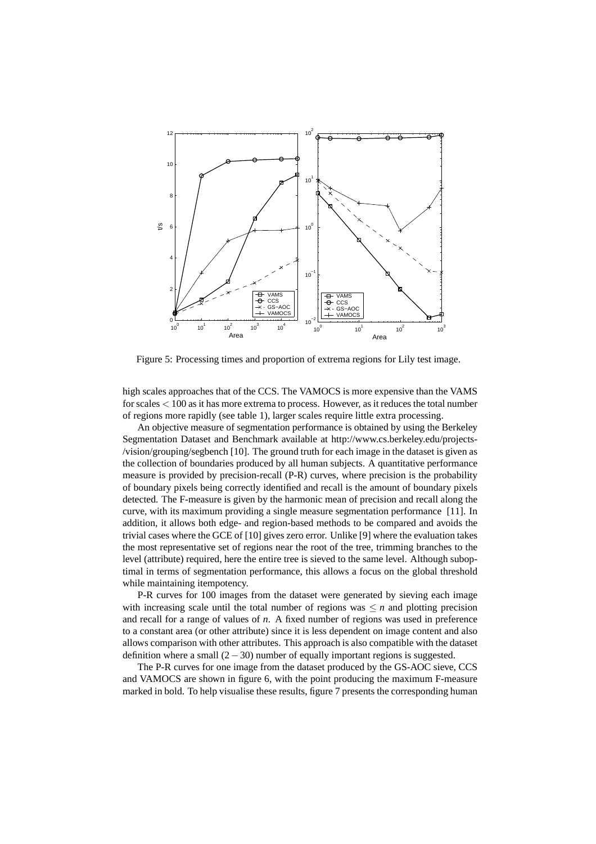

Figure 5: Processing times and proportion of extrema regions for Lily test image.

high scales approaches that of the CCS. The VAMOCS is more expensive than the VAMS for scales < 100 as it has more extrema to process. However, as it reduces the total number of regions more rapidly (see table 1), larger scales require little extra processing.

An objective measure of segmentation performance is obtained by using the Berkeley Segmentation Dataset and Benchmark available at http://www.cs.berkeley.edu/projects- /vision/grouping/segbench [10]. The ground truth for each image in the dataset is given as the collection of boundaries produced by all human subjects. A quantitative performance measure is provided by precision-recall (P-R) curves, where precision is the probability of boundary pixels being correctly identified and recall is the amount of boundary pixels detected. The F-measure is given by the harmonic mean of precision and recall along the curve, with its maximum providing a single measure segmentation performance [11]. In addition, it allows both edge- and region-based methods to be compared and avoids the trivial cases where the GCE of [10] gives zero error. Unlike [9] where the evaluation takes the most representative set of regions near the root of the tree, trimming branches to the level (attribute) required, here the entire tree is sieved to the same level. Although suboptimal in terms of segmentation performance, this allows a focus on the global threshold while maintaining itempotency.

P-R curves for 100 images from the dataset were generated by sieving each image with increasing scale until the total number of regions was  $\leq n$  and plotting precision and recall for a range of values of *n*. A fixed number of regions was used in preference to a constant area (or other attribute) since it is less dependent on image content and also allows comparison with other attributes. This approach is also compatible with the dataset definition where a small  $(2-30)$  number of equally important regions is suggested.

The P-R curves for one image from the dataset produced by the GS-AOC sieve, CCS and VAMOCS are shown in figure 6, with the point producing the maximum F-measure marked in bold. To help visualise these results, figure 7 presents the corresponding human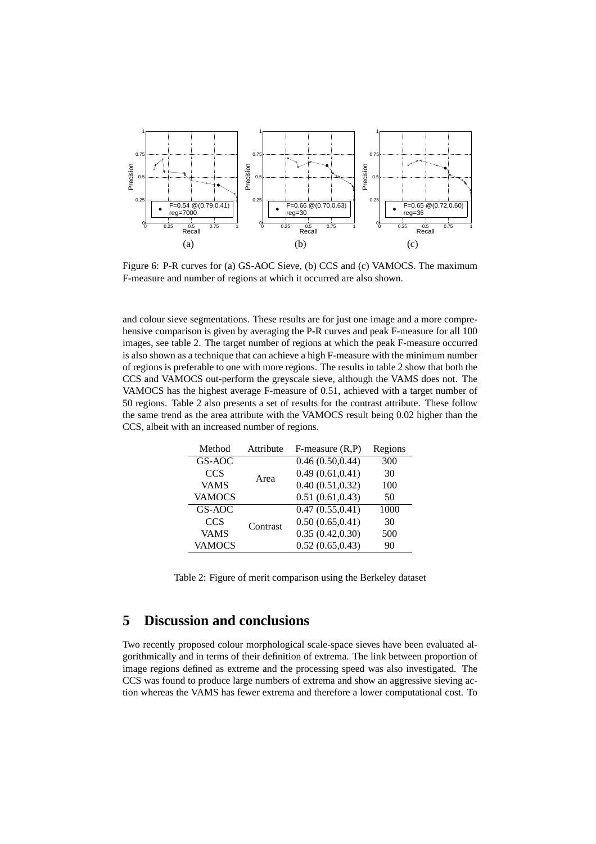

Figure 6: P-R curves for (a) GS-AOC Sieve, (b) CCS and (c) VAMOCS. The maximum F-measure and number of regions at which it occurred are also shown.

and colour sieve segmentations. These results are for just one image and a more comprehensive comparison is given by averaging the P-R curves and peak F-measure for all 100 images, see table 2. The target number of regions at which the peak F-measure occurred is also shown as a technique that can achieve a high F-measure with the minimum number of regions is preferable to one with more regions. The results in table 2 show that both the CCS and VAMOCS out-perform the greyscale sieve, although the VAMS does not. The VAMOCS has the highest average F-measure of 0.51, achieved with a target number of 50 regions. Table 2 also presents a set of results for the contrast attribute. These follow the same trend as the area attribute with the VAMOCS result being 0.02 higher than the CCS, albeit with an increased number of regions.

| Method        | Attribute | $F$ -measure $(R, P)$ | Regions |
|---------------|-----------|-----------------------|---------|
| GS-AOC        |           | 0.46(0.50, 0.44)      | 300     |
| <b>CCS</b>    | Area      | 0.49(0.61, 0.41)      | 30      |
| <b>VAMS</b>   |           | 0.40(0.51, 0.32)      | 100     |
| <b>VAMOCS</b> |           | 0.51(0.61, 0.43)      | 50      |
| GS-AOC        |           | 0.47(0.55, 0.41)      | 1000    |
| <b>CCS</b>    | Contrast  | 0.50(0.65, 0.41)      | 30      |
| <b>VAMS</b>   |           | 0.35(0.42, 0.30)      | 500     |
| <b>VAMOCS</b> |           | 0.52(0.65, 0.43)      | 90      |

Table 2: Figure of merit comparison using the Berkeley dataset

# **5 Discussion and conclusions**

Two recently proposed colour morphological scale-space sieves have been evaluated algorithmically and in terms of their definition of extrema. The link between proportion of image regions defined as extreme and the processing speed was also investigated. The CCS was found to produce large numbers of extrema and show an aggressive sieving action whereas the VAMS has fewer extrema and therefore a lower computational cost. To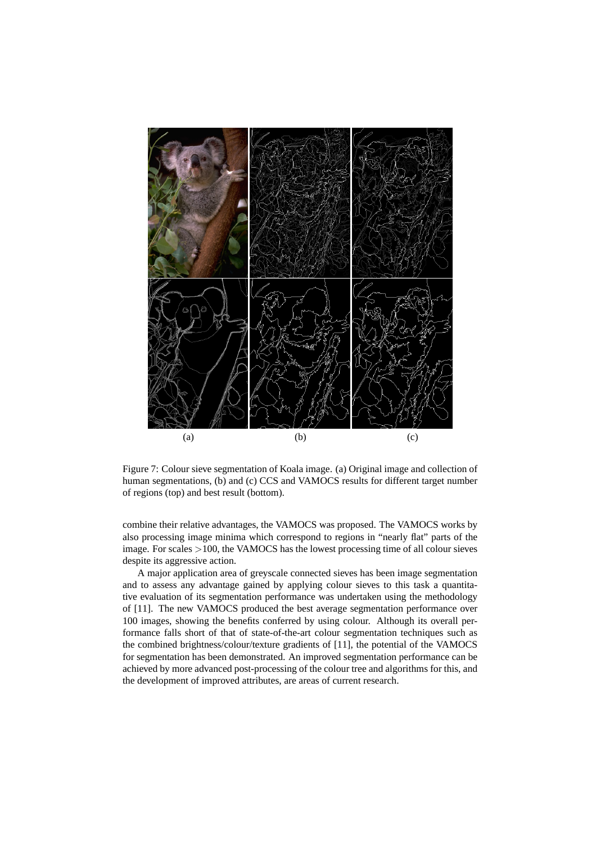

Figure 7: Colour sieve segmentation of Koala image. (a) Original image and collection of human segmentations, (b) and (c) CCS and VAMOCS results for different target number of regions (top) and best result (bottom).

combine their relative advantages, the VAMOCS was proposed. The VAMOCS works by also processing image minima which correspond to regions in "nearly flat" parts of the image. For scales >100, the VAMOCS has the lowest processing time of all colour sieves despite its aggressive action.

A major application area of greyscale connected sieves has been image segmentation and to assess any advantage gained by applying colour sieves to this task a quantitative evaluation of its segmentation performance was undertaken using the methodology of [11]. The new VAMOCS produced the best average segmentation performance over 100 images, showing the benefits conferred by using colour. Although its overall performance falls short of that of state-of-the-art colour segmentation techniques such as the combined brightness/colour/texture gradients of [11], the potential of the VAMOCS for segmentation has been demonstrated. An improved segmentation performance can be achieved by more advanced post-processing of the colour tree and algorithms for this, and the development of improved attributes, are areas of current research.